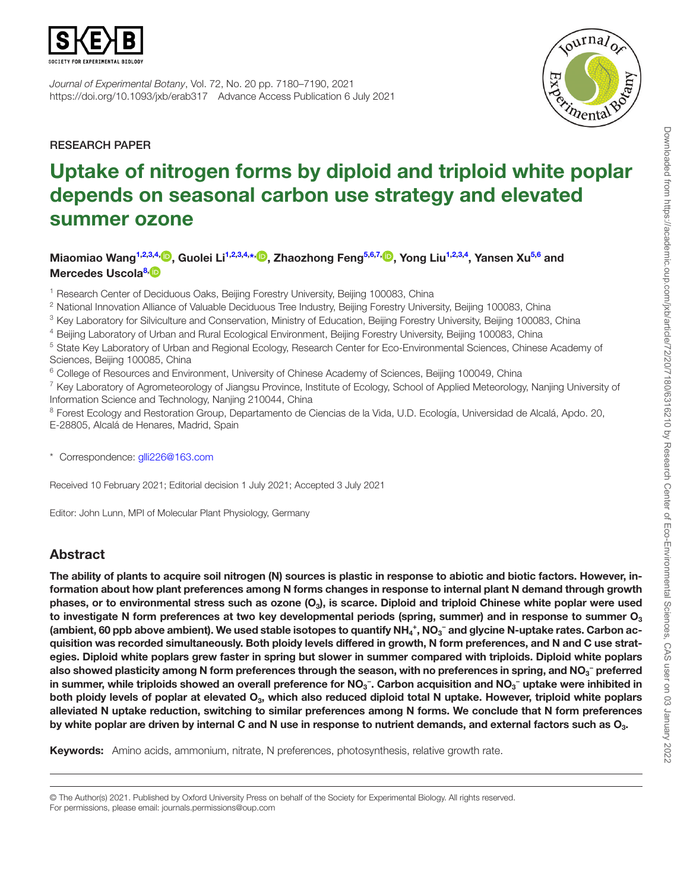

*Journal of Experimental Botany*, Vol. 72, No. 20 pp. 7180–7190, 2021 https://doi.org/10.1093/jxb/erab317 Advance Access Publication 6 July 2021



RESEARCH PAPER

# Uptake of nitrogen forms by diploid and triploid white poplar depends on seasonal carbon use strategy and elevated summer ozone

Miaomiao Wang<sup>[1,](#page-0-0)[2,](#page-0-1)[3](#page-0-2)[,4,](#page-0-3)</sup> [,](https://orcid.org/0000-0002-9775-5113) Guolei Li<sup>1,2,3,4,[\\*,](#page-0-4) D, Zhaozhong Feng<sup>5[,6](#page-0-6),[7](#page-0-7),</sup> D, Yong Liu<sup>[1](#page-0-0)[,2](#page-0-1),3[,4](#page-0-3)</sup>, Yansen Xu<sup>5,[6](#page-0-6)</sup> and</sup> Mercedes Uscola<sup>8[,](https://orcid.org/0000-0002-6922-2889) D</sup>

<span id="page-0-0"></span><sup>1</sup> Research Center of Deciduous Oaks, Beijing Forestry University, Beijing 100083, China

<span id="page-0-1"></span><sup>2</sup> National Innovation Alliance of Valuable Deciduous Tree Industry, Beijing Forestry University, Beijing 100083, China

<span id="page-0-2"></span><sup>3</sup> Key Laboratory for Silviculture and Conservation, Ministry of Education, Beijing Forestry University, Beijing 100083, China

<span id="page-0-3"></span><sup>4</sup> Beijing Laboratory of Urban and Rural Ecological Environment, Beijing Forestry University, Beijing 100083, China

<span id="page-0-5"></span><sup>5</sup> State Key Laboratory of Urban and Regional Ecology, Research Center for Eco-Environmental Sciences, Chinese Academy of Sciences, Beijing 100085, China

<span id="page-0-6"></span><sup>6</sup> College of Resources and Environment, University of Chinese Academy of Sciences, Beijing 100049, China

<span id="page-0-7"></span><sup>7</sup> Key Laboratory of Agrometeorology of Jiangsu Province, Institute of Ecology, School of Applied Meteorology, Nanjing University of Information Science and Technology, Nanjing 210044, China

<span id="page-0-8"></span><sup>8</sup> Forest Ecology and Restoration Group, Departamento de Ciencias de la Vida, U.D. Ecología, Universidad de Alcalá, Apdo. 20, E-28805, Alcalá de Henares, Madrid, Spain

<span id="page-0-4"></span>\* Correspondence: [glli226@163.com](mailto:glli226@163.com?subject=)

Received 10 February 2021; Editorial decision 1 July 2021; Accepted 3 July 2021

Editor: John Lunn, MPI of Molecular Plant Physiology, Germany

# Abstract

The ability of plants to acquire soil nitrogen (N) sources is plastic in response to abiotic and biotic factors. However, information about how plant preferences among N forms changes in response to internal plant N demand through growth phases, or to environmental stress such as ozone  $(O_3)$ , is scarce. Diploid and triploid Chinese white poplar were used to investigate N form preferences at two key developmental periods (spring, summer) and in response to summer  $O<sub>3</sub>$ (ambient, 60 ppb above ambient). We used stable isotopes to quantify NH<sub>4</sub><sup>+</sup>, NO<sub>3</sub><sup>-</sup> and glycine N-uptake rates. Carbon acquisition was recorded simultaneously. Both ploidy levels differed in growth, N form preferences, and N and C use strategies. Diploid white poplars grew faster in spring but slower in summer compared with triploids. Diploid white poplars also showed plasticity among N form preferences through the season, with no preferences in spring, and NO<sub>3</sub><sup>-</sup> preferred in summer, while triploids showed an overall preference for NO<sub>3</sub><sup>−</sup>. Carbon acquisition and NO<sub>3</sub><sup>−</sup> uptake were inhibited in both ploidy levels of poplar at elevated  $O_3$ , which also reduced diploid total N uptake. However, triploid white poplars alleviated N uptake reduction, switching to similar preferences among N forms. We conclude that N form preferences by white poplar are driven by internal C and N use in response to nutrient demands, and external factors such as  $O_3$ .

Keywords: Amino acids, ammonium, nitrate, N preferences, photosynthesis, relative growth rate.

© The Author(s) 2021. Published by Oxford University Press on behalf of the Society for Experimental Biology. All rights reserved. For permissions, please email: journals.permissions@oup.com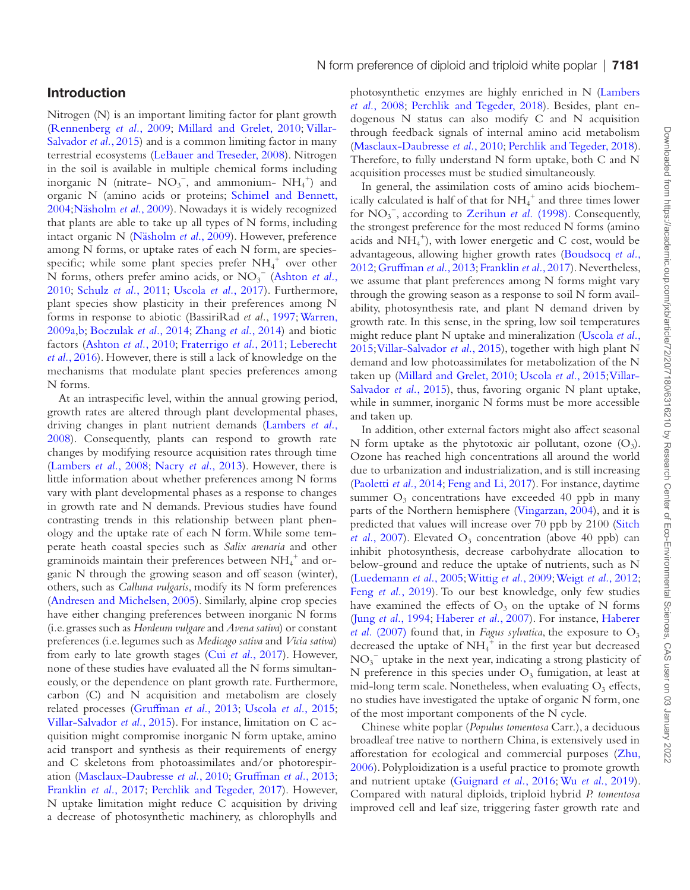Nitrogen (N) is an important limiting factor for plant growth [\(Rennenberg](#page-10-0) *et al.*, 2009; [Millard and Grelet, 2010](#page-9-0); [Villar-](#page-10-1)[Salvador](#page-10-1) *et al.*, 2015) and is a common limiting factor in many terrestrial ecosystems ([LeBauer and Treseder, 2008\)](#page-9-1). Nitrogen in the soil is available in multiple chemical forms including inorganic N (nitrate- $NO_3^-$ , and ammonium- $NH_4^+$ ) and organic N (amino acids or proteins; [Schimel and Bennett,](#page-10-2) [2004](#page-10-2)[;Näsholm](#page-10-3) *et al*., 2009). Nowadays it is widely recognized that plants are able to take up all types of N forms, including intact organic N [\(Näsholm](#page-10-3) *et al*., 2009). However, preference among N forms, or uptake rates of each N form, are speciesspecific; while some plant species prefer  $NH_4^+$  over other N forms, others prefer amino acids, or NO3 − [\(Ashton](#page-9-2) *et al.*, [2010;](#page-9-2) [Schulz](#page-10-4) *et al.*, 2011; [Uscola](#page-10-5) *et al.*, 2017). Furthermore, plant species show plasticity in their preferences among N forms in response to abiotic (BassiriRad *et al.*, [1997](#page-10-2); [Warren,](#page-10-6)  [2009a,](#page-10-6)[b;](#page-10-7) [Boczulak](#page-9-3) *et al.*, 2014; [Zhang](#page-10-8) *et al.*, 2014) and biotic factors [\(Ashton](#page-9-2) *et al.*, 2010; [Fraterrigo](#page-9-4) *et al.*, 2011; [Leberecht](#page-9-5) *et al.*[, 2016](#page-9-5)). However, there is still a lack of knowledge on the mechanisms that modulate plant species preferences among N forms.

At an intraspecific level, within the annual growing period, growth rates are altered through plant developmental phases, driving changes in plant nutrient demands [\(Lambers](#page-9-6) *et al.*, [2008\)](#page-9-6). Consequently, plants can respond to growth rate changes by modifying resource acquisition rates through time [\(Lambers](#page-9-6) *et al.*, 2008; [Nacry](#page-9-7) *et al.*, 2013). However, there is little information about whether preferences among N forms vary with plant developmental phases as a response to changes in growth rate and N demands. Previous studies have found contrasting trends in this relationship between plant phenology and the uptake rate of each N form. While some temperate heath coastal species such as *Salix arenaria* and other graminoids maintain their preferences between  $\mathrm{NH}_4^+$  and organic N through the growing season and off season (winter), others, such as *Calluna vulgaris*, modify its N form preferences [\(Andresen and Michelsen, 2005](#page-9-8)). Similarly, alpine crop species have either changing preferences between inorganic N forms (i.e. grasses such as *Hordeum vulgare* and *Avena sativa*) or constant preferences (i.e. legumes such as *Medicago sativa* and *Vicia sativa*) from early to late growth stages (Cui *et al.*[, 2017](#page-9-9)). However, none of these studies have evaluated all the N forms simultaneously, or the dependence on plant growth rate. Furthermore, carbon (C) and N acquisition and metabolism are closely related processes ([Gruffman](#page-9-10) *et al.*, 2013; [Uscola](#page-10-9) *et al.*, 2015; [Villar-Salvador](#page-10-1) *et al.*, 2015). For instance, limitation on C acquisition might compromise inorganic N form uptake, amino acid transport and synthesis as their requirements of energy and C skeletons from photoassimilates and/or photorespiration ([Masclaux-Daubresse](#page-9-11) *et al.*, 2010; [Gruffman](#page-9-10) *et al.*, 2013; [Franklin](#page-9-12) *et al.*, 2017; [Perchlik and Tegeder, 2017\)](#page-10-10). However, N uptake limitation might reduce C acquisition by driving a decrease of photosynthetic machinery, as chlorophylls and

N form preference of diploid and triploid white poplar | 7181

dogenous N status can also modify C and N acquisition through feedback signals of internal amino acid metabolism [\(Masclaux-Daubresse](#page-9-11) *et al.*, 2010; [Perchlik and Tegeder, 2018](#page-10-11)). Therefore, to fully understand N form uptake, both C and N acquisition processes must be studied simultaneously.

In general, the assimilation costs of amino acids biochemically calculated is half of that for  $\mathrm{NH}_4^+$  and three times lower for NO<sub>3</sub><sup>-</sup>, according to [Zerihun](#page-10-12) *et al.* (1998). Consequently, the strongest preference for the most reduced N forms (amino acids and  $NH_4^+$ ), with lower energetic and C cost, would be advantageous, allowing higher growth rates ([Boudsocq](#page-9-13) *et al.*, [2012;](#page-9-13) [Gruffman](#page-9-10) *et al.*, 2013; [Franklin](#page-9-12) *et al.*, 2017). Nevertheless, we assume that plant preferences among N forms might vary through the growing season as a response to soil N form availability, photosynthesis rate, and plant N demand driven by growth rate. In this sense, in the spring, low soil temperatures might reduce plant N uptake and mineralization ([Uscola](#page-10-9) *et al.*, [2015;](#page-10-9) [Villar-Salvador](#page-10-1) *et al.*, 2015), together with high plant N demand and low photoassimilates for metabolization of the N taken up ([Millard and Grelet, 2010;](#page-9-0) [Uscola](#page-10-9) *et al.*, 2015; [Villar-](#page-10-1)[Salvador](#page-10-1) *et al.*, 2015), thus, favoring organic N plant uptake, while in summer, inorganic N forms must be more accessible and taken up.

In addition, other external factors might also affect seasonal N form uptake as the phytotoxic air pollutant, ozone  $(O_3)$ . Ozone has reached high concentrations all around the world due to urbanization and industrialization, and is still increasing [\(Paoletti](#page-10-13) *et al.*, 2014; [Feng and Li, 2017\)](#page-9-14). For instance, daytime summer  $O_3$  concentrations have exceeded 40 ppb in many parts of the Northern hemisphere [\(Vingarzan, 2004\)](#page-10-14), and it is predicted that values will increase over 70 ppb by 2100 [\(Sitch](#page-10-15) *et al.*[, 2007](#page-10-15)). Elevated  $O_3$  concentration (above 40 ppb) can inhibit photosynthesis, decrease carbohydrate allocation to below-ground and reduce the uptake of nutrients, such as N [\(Luedemann](#page-9-15) *et al.*, 2005; [Wittig](#page-10-16) *et al.*, 2009; [Weigt](#page-10-17) *et al.*, 2012; Feng *et al.*[, 2019](#page-9-16)). To our best knowledge, only few studies have examined the effects of  $O_3$  on the uptake of N forms (Jung *et al.*[, 1994;](#page-9-17) [Haberer](#page-9-18) *et al.*, 2007). For instance, [Haberer](#page-9-18) *et al.* [\(2007\)](#page-9-18) found that, in *Fagus sylvatica*, the exposure to  $O_3$ decreased the uptake of  $NH_4^+$  in the first year but decreased NO3 − uptake in the next year, indicating a strong plasticity of N preference in this species under  $O_3$  fumigation, at least at mid-long term scale. Nonetheless, when evaluating  $O_3$  effects, no studies have investigated the uptake of organic N form, one of the most important components of the N cycle.

Chinese white poplar (*Populus tomentosa* Carr.), a deciduous broadleaf tree native to northern China, is extensively used in afforestation for ecological and commercial purposes [\(Zhu,](#page-10-18) [2006\)](#page-10-18). Polyploidization is a useful practice to promote growth and nutrient uptake ([Guignard](#page-9-19) *et al.*, 2016; Wu *et al.*[, 2019](#page-10-19)). Compared with natural diploids, triploid hybrid *P. tomentosa* improved cell and leaf size, triggering faster growth rate and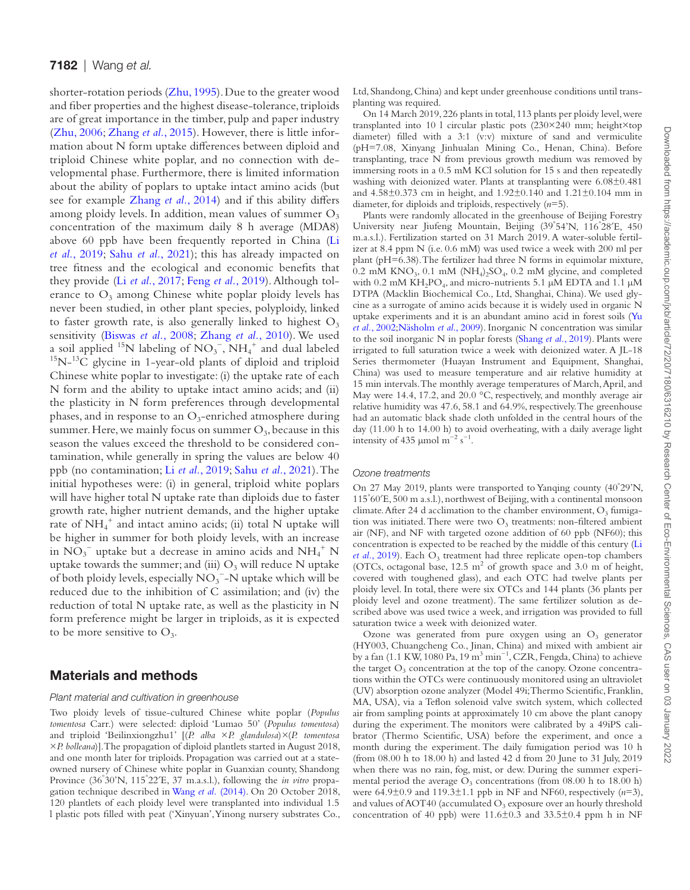shorter-rotation periods [\(Zhu, 1995](#page-10-20)). Due to the greater wood and fiber properties and the highest disease-tolerance, triploids are of great importance in the timber, pulp and paper industry ([Zhu, 2006](#page-10-18); [Zhang](#page-10-21) *et al.*, 2015). However, there is little information about N form uptake differences between diploid and triploid Chinese white poplar, and no connection with developmental phase. Furthermore, there is limited information about the ability of poplars to uptake intact amino acids (but see for example [Zhang](#page-10-8) *et al.*, 2014) and if this ability differs among ploidy levels. In addition, mean values of summer  $O_3$ concentration of the maximum daily 8 h average (MDA8) above 60 ppb have been frequently reported in China ([Li](#page-9-20) *et al.*[, 2019;](#page-9-20) Sahu *et al.*[, 2021](#page-10-22)); this has already impacted on tree fitness and the ecological and economic benefits that they provide (Li *et al.*[, 2017;](#page-9-21) Feng *et al.*[, 2019](#page-9-16)). Although tolerance to  $O_3$  among Chinese white poplar ploidy levels has never been studied, in other plant species, polyploidy, linked to faster growth rate, is also generally linked to highest  $O_3$ sensitivity ([Biswas](#page-9-22) *et al.*, 2008; [Zhang](#page-10-23) *et al.*, 2010). We used a soil applied  $^{15}N$  labeling of  $NO_3^-$ ,  $NH_4$  $^{15}N-^{13}\hat{C}$  glycine in 1-year-old plants of diploid and triploid Chinese white poplar to investigate: (i) the uptake rate of each N form and the ability to uptake intact amino acids; and (ii) the plasticity in N form preferences through developmental phases, and in response to an  $O_3$ -enriched atmosphere during summer. Here, we mainly focus on summer  $O_3$ , because in this season the values exceed the threshold to be considered contamination, while generally in spring the values are below 40 ppb (no contamination; Li *et al.*[, 2019](#page-9-20); Sahu *et al.*[, 2021](#page-10-22)). The initial hypotheses were: (i) in general, triploid white poplars will have higher total N uptake rate than diploids due to faster growth rate, higher nutrient demands, and the higher uptake rate of NH<sub>4</sub><sup>+</sup> and intact amino acids; (ii) total N uptake will be higher in summer for both ploidy levels, with an increase in  $\overline{NO_3}^-$  uptake but a decrease in amino acids and  $\overline{NH_4}^+$  N uptake towards the summer; and (iii)  $O_3$  will reduce N uptake of both ploidy levels, especially  $\mathrm{NO_3}^-$  –N uptake which will be reduced due to the inhibition of C assimilation; and (iv) the reduction of total N uptake rate, as well as the plasticity in N form preference might be larger in triploids, as it is expected to be more sensitive to  $O_3$ .

# Materials and methods

#### *Plant material and cultivation in greenhouse*

Two ploidy levels of tissue-cultured Chinese white poplar (*Populus tomentosa* Carr.) were selected: diploid 'Lumao 50' (*Populus tomentosa*) and triploid 'Beilinxiongzhu1' [(*P. alba* ×*P. glandulosa*)*×*(*P. tomentosa* ×*P. bolleana*)]. The propagation of diploid plantlets started in August 2018, and one month later for triploids. Propagation was carried out at a stateowned nursery of Chinese white poplar in Guanxian county, Shandong Province (36° 30'N, 115° 22′E, 37 m.a.s.l.), following the *in vitro* propagation technique described in Wang *et al.* [\(2014\)](#page-10-24). On 20 October 2018, 120 plantlets of each ploidy level were transplanted into individual 1.5 l plastic pots filled with peat ('Xinyuan', Yinong nursery substrates Co.,

Ltd, Shandong, China) and kept under greenhouse conditions until transplanting was required.

On 14 March 2019, 226 plants in total, 113 plants per ploidy level, were transplanted into 10 l circular plastic pots (230×240 mm; height×top diameter) filled with a 3:1 (v:v) mixture of sand and vermiculite (pH=7.08, Xinyang Jinhualan Mining Co., Henan, China). Before transplanting, trace N from previous growth medium was removed by immersing roots in a 0.5 mM KCl solution for 15 s and then repeatedly washing with deionized water. Plants at transplanting were 6.08±0.481 and 4.58±0.373 cm in height, and 1.92±0.140 and 1.21±0.104 mm in diameter, for diploids and triploids, respectively (*n*=5).

Plants were randomly allocated in the greenhouse of Beijing Forestry University near Jiufeng Mountain, Beijing (39° 54'N, 116° 28′E, 450 m.a.s.l.). Fertilization started on 31 March 2019. A water-soluble fertilizer at 8.4 ppm N (i.e. 0.6 mM) was used twice a week with 200 ml per plant (pH=6.38). The fertilizer had three N forms in equimolar mixture,  $0.2$  mM KNO<sub>3</sub>,  $0.1$  mM (NH<sub>4</sub>)<sub>2</sub>SO<sub>4</sub>,  $0.2$  mM glycine, and completed with 0.2 mM KH<sub>2</sub>PO<sub>4</sub>, and micro-nutrients 5.1  $\mu$ M EDTA and 1.1  $\mu$ M DTPA (Macklin Biochemical Co., Ltd, Shanghai, China). We used glycine as a surrogate of amino acids because it is widely used in organic N uptake experiments and it is an abundant amino acid in forest soils [\(Yu](#page-10-25) *et al.*[, 2002](#page-10-25);[Näsholm](#page-10-3) *et al*., 2009). Inorganic N concentration was similar to the soil inorganic N in poplar forests [\(Shang](#page-10-26) *et al.*, 2019). Plants were irrigated to full saturation twice a week with deionized water. A JL-18 Series thermometer (Huayan Instrument and Equipment, Shanghai, China) was used to measure temperature and air relative humidity at 15 min intervals. The monthly average temperatures of March, April, and May were 14.4, 17.2, and 20.0 °C, respectively, and monthly average air relative humidity was 47.6, 58.1 and 64.9%, respectively. The greenhouse had an automatic black shade cloth unfolded in the central hours of the day (11.00 h to 14.00 h) to avoid overheating, with a daily average light intensity of 435 µmol m<sup>-2</sup> s<sup>-1</sup>.

#### *Ozone treatments*

On 27 May 2019, plants were transported to Yanqing county (40° 29'N, 115° 60′E, 500 m a.s.l.), northwest of Beijing, with a continental monsoon climate. After 24 d acclimation to the chamber environment,  $O_3$  fumigation was initiated. There were two  $O<sub>3</sub>$  treatments: non-filtered ambient air (NF), and NF with targeted ozone addition of 60 ppb (NF60); this concentration is expected to be reached by the middle of this century ([Li](#page-9-20) *et al.*[, 2019](#page-9-20)). Each  $O_3$  treatment had three replicate open-top chambers (OTCs, octagonal base,  $12.5 \text{ m}^2$  of growth space and  $3.0 \text{ m}$  of height, covered with toughened glass), and each OTC had twelve plants per ploidy level. In total, there were six OTCs and 144 plants (36 plants per ploidy level and ozone treatment). The same fertilizer solution as described above was used twice a week, and irrigation was provided to full saturation twice a week with deionized water.

Ozone was generated from pure oxygen using an  $O<sub>3</sub>$  generator (HY003, Chuangcheng Co., Jinan, China) and mixed with ambient air by a fan (1.1 KW, 1080 Pa, 19 m<sup>3</sup> min<sup>-1</sup>, CZR, Fengda, China) to achieve the target  $O_3$  concentration at the top of the canopy. Ozone concentrations within the OTCs were continuously monitored using an ultraviolet (UV) absorption ozone analyzer (Model 49i; Thermo Scientific, Franklin, MA, USA), via a Teflon solenoid valve switch system, which collected air from sampling points at approximately 10 cm above the plant canopy during the experiment. The monitors were calibrated by a 49iPS calibrator (Thermo Scientific, USA) before the experiment, and once a month during the experiment. The daily fumigation period was 10 h (from 08.00 h to 18.00 h) and lasted 42 d from 20 June to 31 July, 2019 when there was no rain, fog, mist, or dew. During the summer experimental period the average  $O_3$  concentrations (from 08.00 h to 18.00 h) were 64.9±0.9 and 119.3±1.1 ppb in NF and NF60, respectively (*n*=3), and values of AOT40 (accumulated  $O_3$  exposure over an hourly threshold concentration of 40 ppb) were  $11.6\pm0.3$  and  $33.5\pm0.4$  ppm h in NF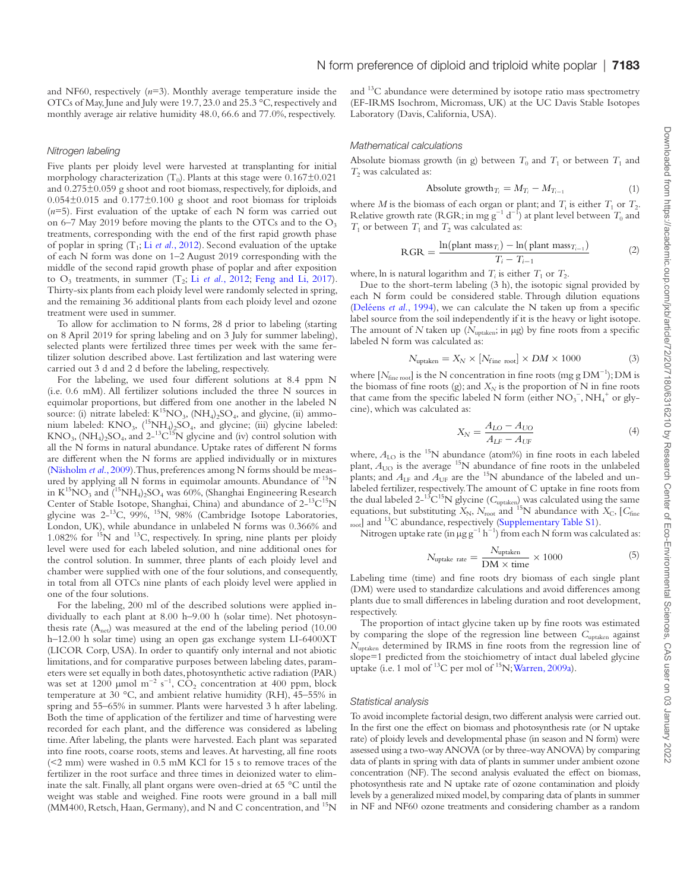and NF60, respectively (*n*=3). Monthly average temperature inside the OTCs of May, June and July were 19.7, 23.0 and 25.3 °C, respectively and monthly average air relative humidity 48.0, 66.6 and 77.0%, respectively.

#### *Nitrogen labeling*

Five plants per ploidy level were harvested at transplanting for initial morphology characterization  $(T_0)$ . Plants at this stage were  $0.167\pm0.021$ and 0.275±0.059 g shoot and root biomass, respectively, for diploids, and  $0.054\pm0.015$  and  $0.177\pm0.100$  g shoot and root biomass for triploids (*n*=5). First evaluation of the uptake of each N form was carried out on 6–7 May 2019 before moving the plants to the OTCs and to the  $O_3$ treatments, corresponding with the end of the first rapid growth phase of poplar in spring  $(T_1; Li$  *et al.*[, 2012](#page-9-23)). Second evaluation of the uptake of each N form was done on 1–2 August 2019 corresponding with the middle of the second rapid growth phase of poplar and after exposition to  $O_3$  treatments, in summer  $(T_2; L_i$  *et al.*[, 2012](#page-9-23); [Feng and Li, 2017\)](#page-9-14). Thirty-six plants from each ploidy level were randomly selected in spring, and the remaining 36 additional plants from each ploidy level and ozone treatment were used in summer.

To allow for acclimation to N forms, 28 d prior to labeling (starting on 8 April 2019 for spring labeling and on 3 July for summer labeling), selected plants were fertilized three times per week with the same fertilizer solution described above. Last fertilization and last watering were carried out 3 d and 2 d before the labeling, respectively.

For the labeling, we used four different solutions at 8.4 ppm N (i.e. 0.6 mM). All fertilizer solutions included the three N sources in equimolar proportions, but differed from one another in the labeled N source: (i) nitrate labeled:  $K^{15}NO_3$ ,  $(NH_4)_2SO_4$ , and glycine, (ii) ammonium labeled:  $KNO_3$ ,  $(^{15}NH_4)_2SO_4$ , and glycine; (iii) glycine labeled:  $KNO_3$ ,  $(NH_4)_2SO_4$ , and  $2^{-13}C^{15}N$  glycine and (iv) control solution with all the N forms in natural abundance. Uptake rates of different N forms are different when the N forms are applied individually or in mixtures ([Näsholm](#page-10-3) *et al*., 2009). Thus, preferences among N forms should be measured by applying all N forms in equimolar amounts. Abundance of 15N in  $K^{15}NO_3$  and  $(^{15}NH_4)_2SO_4$  was 60%, (Shanghai Engineering Research Center of Stable Isotope, Shanghai, China) and abundance of 2-<sup>13</sup>C<sup>15</sup>N glycine was 2-13C, 99%, 15N, 98% (Cambridge Isotope Laboratories, London, UK), while abundance in unlabeled N forms was 0.366% and 1.082% for 15N and 13C, respectively. In spring, nine plants per ploidy level were used for each labeled solution, and nine additional ones for the control solution. In summer, three plants of each ploidy level and chamber were supplied with one of the four solutions, and consequently, in total from all OTCs nine plants of each ploidy level were applied in one of the four solutions.

For the labeling, 200 ml of the described solutions were applied individually to each plant at 8.00 h–9.00 h (solar time). Net photosynthesis rate  $(A<sub>net</sub>)$  was measured at the end of the labeling period (10.00) h–12.00 h solar time) using an open gas exchange system LI-6400XT (LICOR Corp, USA). In order to quantify only internal and not abiotic limitations, and for comparative purposes between labeling dates, parameters were set equally in both dates, photosynthetic active radiation (PAR) was set at 1200  $\mu$ mol m<sup>-2</sup> s<sup>-1</sup>, CO<sub>2</sub> concentration at 400 ppm, block temperature at 30 °C, and ambient relative humidity (RH), 45–55% in spring and 55–65% in summer. Plants were harvested 3 h after labeling. Both the time of application of the fertilizer and time of harvesting were recorded for each plant, and the difference was considered as labeling time. After labeling, the plants were harvested. Each plant was separated into fine roots, coarse roots, stems and leaves. At harvesting, all fine roots (<2 mm) were washed in 0.5 mM KCl for 15 s to remove traces of the fertilizer in the root surface and three times in deionized water to eliminate the salt. Finally, all plant organs were oven-dried at 65 °C until the weight was stable and weighed. Fine roots were ground in a ball mill  $(MM400, Restsch, Haan, Germany)$ , and N and C concentration, and  $^{15}N$ 

and 13C abundance were determined by isotope ratio mass spectrometry (EF-IRMS Isochrom, Micromass, UK) at the UC Davis Stable Isotopes Laboratory (Davis, California, USA).

#### *Mathematical calculations*

Absolute biomass growth (in g) between  $T_0$  and  $T_1$  or between  $T_1$  and *T*<sub>2</sub> was calculated as:

Absolute growth<sub>T<sub>i</sub></sub> = 
$$
M_{T_i} - M_{T_{i-1}}
$$
 (1)

where *M* is the biomass of each organ or plant; and  $T_i$  is either  $T_1$  or  $T_2$ . Relative growth rate (RGR; in mg g<sup>-1</sup> d<sup>-1</sup>) at plant level between  $T_0$  and  $T_1$  or between  $T_1$  and  $T_2$  was calculated as:

$$
RGR = \frac{\ln(\text{plant mass}_{T_i}) - \ln(\text{plant mass}_{T_{i-1}})}{T_i - T_{i-1}}
$$
(2)

where, ln is natural logarithm and  $T_i$  is either  $T_1$  or  $T_2$ .

Due to the short-term labeling (3 h), the isotopic signal provided by each N form could be considered stable. Through dilution equations ([Deléens](#page-9-24) *et al.*, 1994), we can calculate the N taken up from a specific label source from the soil independently if it is the heavy or light isotope. The amount of  $N$  taken up ( $N_{\text{uptaken}}$ ; in  $\mu$ g) by fine roots from a specific labeled N form was calculated as:

$$
N_{\text{uptaken}} = X_N \times [N_{\text{fine root}}] \times DM \times 1000 \tag{3}
$$

where [ $N_{\text{fine root}}$ ] is the N concentration in fine roots (mg g DM<sup>-1</sup>); DM is the biomass of fine roots (g); and  $X_N$  is the proportion of N in fine roots that came from the specific labeled N form (either  $NO_3^-$ ,  $NH_4^+$  or glycine), which was calculated as:

$$
X_N = \frac{A_{LO} - A_{UO}}{A_{LF} - A_{UF}}
$$
(4)

where,  $A_{\text{LO}}$  is the <sup>15</sup>N abundance (atom%) in fine roots in each labeled plant,  $A_{\text{UO}}$  is the average <sup>15</sup>N abundance of fine roots in the unlabeled plants; and  $A_{\text{LF}}$  and  $A_{\text{UF}}$  are the <sup>15</sup>N abundance of the labeled and unlabeled fertilizer, respectively. The amount of C uptake in fine roots from the dual labeled  $2^{-13}C^{15}N$  glycine ( $C_{\text{uptaken}}$ ) was calculated using the same equations, but substituting  $X_{\text{N}}$ ,  $N_{\text{root}}$  and <sup>15</sup>N abundance with  $X_{\text{C}}$ , [ $C_{\text{fine}}$ root] and <sup>13</sup>C abundance, respectively [\(Supplementary Table S1\)](http://academic.oup.com/jxb/article-lookup/doi/10.1093/jxb/erab317#supplementary-data).

Nitrogen uptake rate (in  $\mu$ g g<sup>-1</sup> h<sup>-1</sup>) from each N form was calculated as:

$$
N_{\text{uptake rate}} = \frac{N_{\text{uptaken}}}{\text{DM} \times \text{time}} \times 1000 \tag{5}
$$

Labeling time (time) and fine roots dry biomass of each single plant (DM) were used to standardize calculations and avoid differences among plants due to small differences in labeling duration and root development, respectively.

The proportion of intact glycine taken up by fine roots was estimated by comparing the slope of the regression line between *C*<sub>uptaken</sub> against *N*<sub>uptaken</sub> determined by IRMS in fine roots from the regression line of slope=1 predicted from the stoichiometry of intact dual labeled glycine uptake (i.e. 1 mol of  $^{13}$ C per mol of  $^{15}$ N; [Warren, 2009a](#page-10-6)).

#### *Statistical analysis*

To avoid incomplete factorial design, two different analysis were carried out. In the first one the effect on biomass and photosynthesis rate (or N uptake rate) of ploidy levels and developmental phase (in season and N form) were assessed using a two-way ANOVA (or by three-way ANOVA) by comparing data of plants in spring with data of plants in summer under ambient ozone concentration (NF). The second analysis evaluated the effect on biomass, photosynthesis rate and N uptake rate of ozone contamination and ploidy levels by a generalized mixed model, by comparing data of plants in summer in NF and NF60 ozone treatments and considering chamber as a random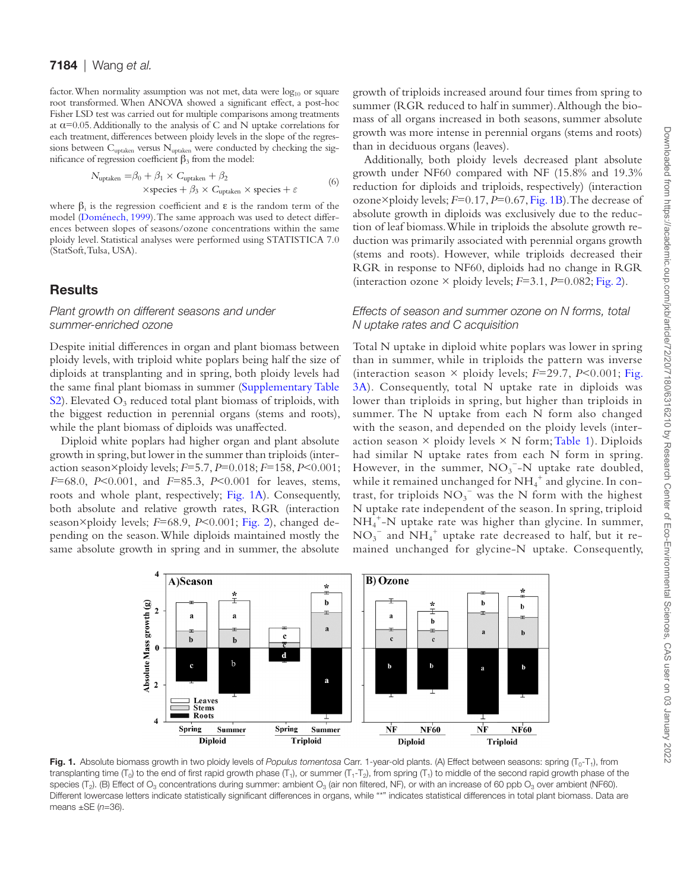factor. When normality assumption was not met, data were  $log_{10}$  or square root transformed. When ANOVA showed a significant effect, a post-hoc Fisher LSD test was carried out for multiple comparisons among treatments at  $\alpha$ =0.05. Additionally to the analysis of C and N uptake correlations for each treatment, differences between ploidy levels in the slope of the regressions between  $C_{\text{uptaken}}$  versus  $N_{\text{uptaken}}$  were conducted by checking the significance of regression coefficient  $β_3$  from the model:

$$
N_{\text{uptaken}} = \beta_0 + \beta_1 \times C_{\text{uptaken}} + \beta_2
$$
  
×species +  $\beta_3 \times C_{\text{uptaken}} \times \text{species} + \varepsilon$  (6)

where  $\beta_i$  is the regression coefficient and  $\varepsilon$  is the random term of the model [\(Doménech, 1999\)](#page-9-25). The same approach was used to detect differences between slopes of seasons/ozone concentrations within the same ploidy level. Statistical analyses were performed using STATISTICA 7.0 (StatSoft, Tulsa, USA).

# **Results**

# *Plant growth on different seasons and under summer-enriched ozone*

Despite initial differences in organ and plant biomass between ploidy levels, with triploid white poplars being half the size of diploids at transplanting and in spring, both ploidy levels had the same final plant biomass in summer ([Supplementary Table](http://academic.oup.com/jxb/article-lookup/doi/10.1093/jxb/erab317#supplementary-data) [S2\)](http://academic.oup.com/jxb/article-lookup/doi/10.1093/jxb/erab317#supplementary-data). Elevated  $O_3$  reduced total plant biomass of triploids, with the biggest reduction in perennial organs (stems and roots), while the plant biomass of diploids was unaffected.

Diploid white poplars had higher organ and plant absolute growth in spring, but lower in the summer than triploids (interaction season×ploidy levels; *F*=5.7, *P*=0.018; *F*=158, *P*<0.001; *F*=68.0, *P*<0.001, and *F*=85.3, *P*<0.001 for leaves, stems, roots and whole plant, respectively; [Fig. 1A](#page-4-0)). Consequently, both absolute and relative growth rates, RGR (interaction season×ploidy levels; *F*=68.9, *P*<0.001; [Fig. 2](#page-5-0)), changed depending on the season. While diploids maintained mostly the same absolute growth in spring and in summer, the absolute

growth of triploids increased around four times from spring to summer (RGR reduced to half in summer). Although the biomass of all organs increased in both seasons, summer absolute growth was more intense in perennial organs (stems and roots) than in deciduous organs (leaves).

Additionally, both ploidy levels decreased plant absolute growth under NF60 compared with NF (15.8% and 19.3% reduction for diploids and triploids, respectively) (interaction ozone×ploidy levels; *F*=0.17, *P*=0.67, [Fig. 1B\)](#page-4-0). The decrease of absolute growth in diploids was exclusively due to the reduction of leaf biomass. While in triploids the absolute growth reduction was primarily associated with perennial organs growth (stems and roots). However, while triploids decreased their RGR in response to NF60, diploids had no change in RGR (interaction ozone  $\times$  ploidy levels;  $F=3.1$ ,  $P=0.082$ ; [Fig. 2](#page-5-0)).

## *Effects of season and summer ozone on N forms, total N uptake rates and C acquisition*

Total N uptake in diploid white poplars was lower in spring than in summer, while in triploids the pattern was inverse (interaction season  $\times$  ploidy levels;  $F=29.7$ ,  $P<0.001$ ; [Fig.](#page-6-0) [3A\)](#page-6-0). Consequently, total N uptake rate in diploids was lower than triploids in spring, but higher than triploids in summer. The N uptake from each N form also changed with the season, and depended on the ploidy levels (interaction season  $\times$  ploidy levels  $\times$  N form; [Table 1\)](#page-6-1). Diploids had similar N uptake rates from each N form in spring. However, in the summer,  $NO<sub>3</sub><sup>-</sup>-N$  uptake rate doubled, while it remained unchanged for  $\mathrm{NH}_4^+$  and glycine. In contrast, for triploids  $NO_3^-$  was the N form with the highest N uptake rate independent of the season. In spring, triploid NH4 +-N uptake rate was higher than glycine. In summer,  $NO<sub>3</sub><sup>-</sup>$  and  $NH<sub>4</sub><sup>+</sup>$  uptake rate decreased to half, but it remained unchanged for glycine-N uptake. Consequently,



<span id="page-4-0"></span>Fig. 1. Absolute biomass growth in two ploidy levels of *Populus tomentosa* Carr. 1-year-old plants. (A) Effect between seasons: spring (T<sub>0</sub>-T<sub>1</sub>), from transplanting time (T<sub>0</sub>) to the end of first rapid growth phase (T<sub>1</sub>), or summer (T<sub>1</sub>-T<sub>2</sub>), from spring (T<sub>1</sub>) to middle of the second rapid growth phase of the species ( $T_2$ ). (B) Effect of O<sub>3</sub> concentrations during summer: ambient O<sub>3</sub> (air non filtered, NF), or with an increase of 60 ppb O<sub>3</sub> over ambient (NF60). Different lowercase letters indicate statistically significant differences in organs, while "\*" indicates statistical differences in total plant biomass. Data are means ±SE (*n*=36).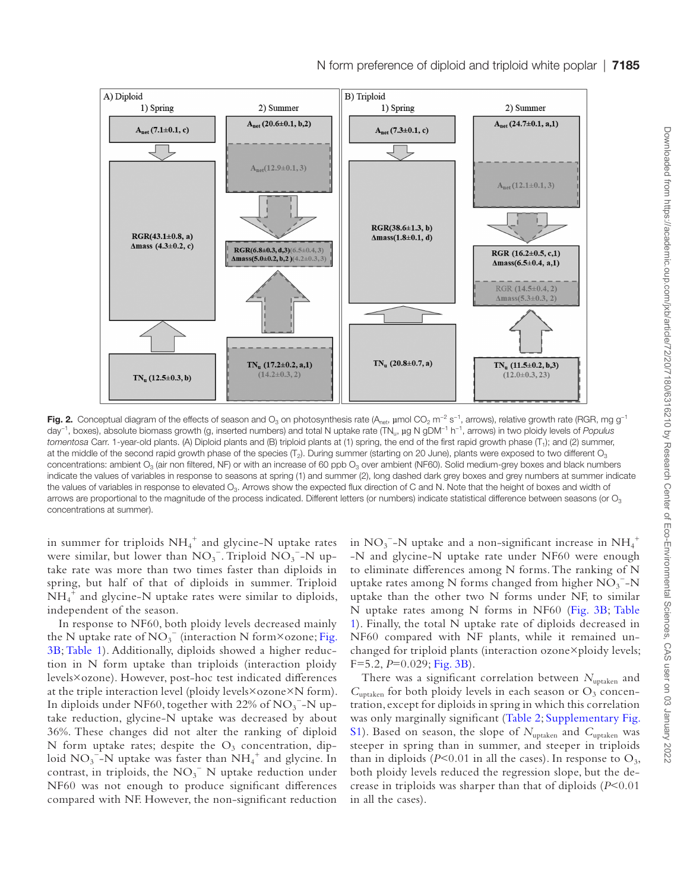

<span id="page-5-0"></span>Fig. 2. Conceptual diagram of the effects of season and O<sub>3</sub> on photosynthesis rate (A<sub>net</sub>, µmol CO<sub>2</sub> m<sup>-2</sup> s<sup>-1</sup>, arrows), relative growth rate (RGR, mg g<sup>-1</sup> day−1, boxes), absolute biomass growth (g, inserted numbers) and total N uptake rate (TNu, µg N gDM−1 h−1, arrows) in two ploidy levels of *Populus tomentosa* Carr. 1-year-old plants. (A) Diploid plants and (B) triploid plants at (1) spring, the end of the first rapid growth phase (T<sub>1</sub>); and (2) summer, at the middle of the second rapid growth phase of the species  $(T_2)$ . During summer (starting on 20 June), plants were exposed to two different  $O_3$ concentrations: ambient O<sub>3</sub> (air non filtered, NF) or with an increase of 60 ppb O<sub>3</sub> over ambient (NF60). Solid medium-grey boxes and black numbers indicate the values of variables in response to seasons at spring (1) and summer (2), long dashed dark grey boxes and grey numbers at summer indicate the values of variables in response to elevated O<sub>3</sub>. Arrows show the expected flux direction of C and N. Note that the height of boxes and width of arrows are proportional to the magnitude of the process indicated. Different letters (or numbers) indicate statistical difference between seasons (or  $O<sub>3</sub>$ concentrations at summer).

in summer for triploids  $\mathrm{NH_4}^+$  and glycine-N uptake rates were similar, but lower than  $NO_3^-$ . Triploid  $NO_3^-$ -N uptake rate was more than two times faster than diploids in spring, but half of that of diploids in summer. Triploid  $\overline{NH_4}^+$  and glycine-N uptake rates were similar to diploids, independent of the season.

In response to NF60, both ploidy levels decreased mainly the N uptake rate of  $NO_3^-$  (interaction N form×ozone; [Fig.](#page-6-0) [3B](#page-6-0); [Table 1](#page-6-1)). Additionally, diploids showed a higher reduction in N form uptake than triploids (interaction ploidy levels×ozone). However, post-hoc test indicated differences at the triple interaction level (ploidy levels×ozone×N form). In diploids under NF60, together with 22% of NO<sub>3</sub><sup>-</sup>-N uptake reduction, glycine-N uptake was decreased by about 36%. These changes did not alter the ranking of diploid N form uptake rates; despite the  $O_3$  concentration, diploid  $NO_3^-$ -N uptake was faster than  $NH_4^+$  and glycine. In contrast, in triploids, the  $NO<sub>3</sub><sup>-</sup>$  N uptake reduction under NF60 was not enough to produce significant differences compared with NF. However, the non-significant reduction

in  $\mathrm{NO_3}^-$ -N uptake and a non-significant increase in  $\mathrm{NH_4}^+$ -N and glycine-N uptake rate under NF60 were enough to eliminate differences among N forms. The ranking of N uptake rates among N forms changed from higher  $\overline{\text{NO}_3}^{-}$ -N uptake than the other two N forms under NF, to similar N uptake rates among N forms in NF60 ([Fig. 3B](#page-6-0); [Table](#page-6-1)  [1](#page-6-1)). Finally, the total N uptake rate of diploids decreased in NF60 compared with NF plants, while it remained unchanged for triploid plants (interaction ozone×ploidy levels; F=5.2, *P*=0.029; [Fig. 3B](#page-6-0)).

There was a significant correlation between  $N_{\text{uptaken}}$  and  $C<sub>uptaken</sub>$  for both ploidy levels in each season or  $O<sub>3</sub>$  concentration, except for diploids in spring in which this correlation was only marginally significant ([Table 2](#page-7-0); [Supplementary Fig.](http://academic.oup.com/jxb/article-lookup/doi/10.1093/jxb/erab317#supplementary-data) [S1\)](http://academic.oup.com/jxb/article-lookup/doi/10.1093/jxb/erab317#supplementary-data). Based on season, the slope of  $N_{\text{uptaken}}$  and  $C_{\text{uptaken}}$  was steeper in spring than in summer, and steeper in triploids than in diploids ( $P<0.01$  in all the cases). In response to  $O_3$ , both ploidy levels reduced the regression slope, but the decrease in triploids was sharper than that of diploids (*P*<0.01 in all the cases).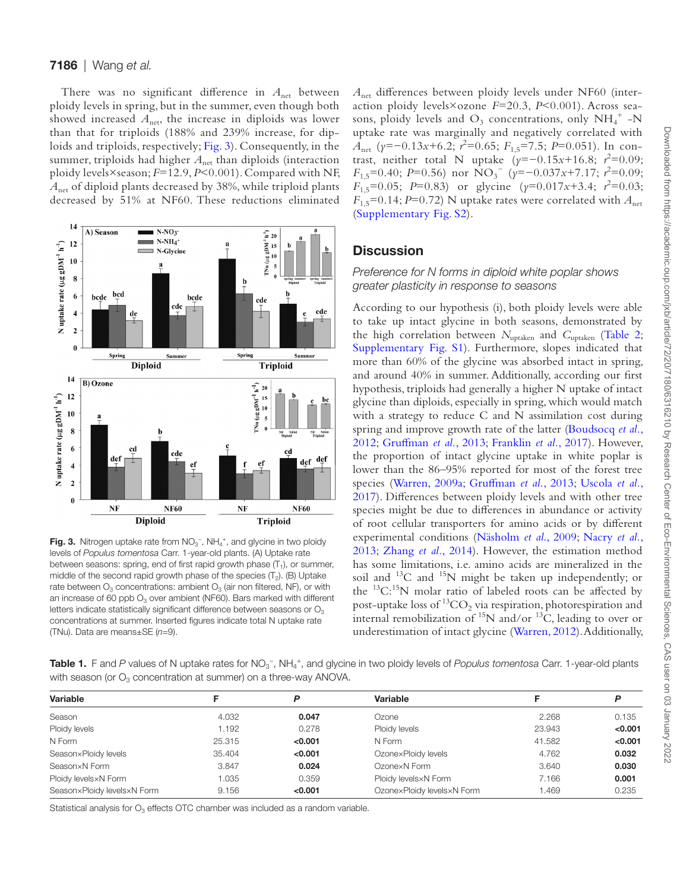#### 7186 | Wang *et al.*

There was no significant difference in  $A<sub>net</sub>$  between ploidy levels in spring, but in the summer, even though both showed increased  $A_{\text{net}}$ , the increase in diploids was lower than that for triploids (188% and 239% increase, for diploids and triploids, respectively; [Fig. 3\)](#page-6-0). Consequently, in the summer, triploids had higher  $A_{net}$  than diploids (interaction ploidy levels×season; *F*=12.9, *P*<0.001). Compared with NF, *A*net of diploid plants decreased by 38%, while triploid plants decreased by 51% at NF60. These reductions eliminated



<span id="page-6-0"></span>Fig. 3. Nitrogen uptake rate from  $NO<sub>3</sub><sup>-</sup>$ , NH<sub>4</sub><sup>+</sup>, and glycine in two ploidy levels of *Populus tomentosa* Carr. 1-year-old plants. (A) Uptake rate between seasons: spring, end of first rapid growth phase  $(T_1)$ , or summer, middle of the second rapid growth phase of the species  $(T_2)$ . (B) Uptake rate between  $O_3$  concentrations: ambient  $O_3$  (air non filtered, NF), or with an increase of 60 ppb  $O_3$  over ambient (NF60). Bars marked with different letters indicate statistically significant difference between seasons or  $O<sub>3</sub>$ concentrations at summer. Inserted figures indicate total N uptake rate (TNu). Data are means±SE (*n*=9).

*A*net differences between ploidy levels under NF60 (interaction ploidy levels×ozone *F*=20.3, *P*<0.001). Across seasons, ploidy levels and  $O_3$  concentrations, only  $NH_4^+$  -N uptake rate was marginally and negatively correlated with *A*net (*y*=−0.13*x*+6.2; *r* 2 =0.65; *F*1,5=7.5; *P*=0.051). In contrast, neither total N uptake  $(y=-0.15x+16.8; r^2=0.09;$ *F*<sub>1,5</sub>=0.40; *P*=0.56) nor NO<sub>3</sub><sup>−</sup> (*y*=−0.037*x*+7.17; *r*<sup>2</sup>=0.09;  $F_{1,5}$ =0.05; *P*=0.83) or glycine ( $\gamma$ =0.017*x*+3.4; *r*<sup>2</sup>=0.03;  $F_{1,5}$ =0.14; *P*=0.72) N uptake rates were correlated with  $A_{\text{net}}$ ([Supplementary Fig. S2](http://academic.oup.com/jxb/article-lookup/doi/10.1093/jxb/erab317#supplementary-data)).

# **Discussion**

## *Preference for N forms in diploid white poplar shows greater plasticity in response to seasons*

According to our hypothesis (i), both ploidy levels were able to take up intact glycine in both seasons, demonstrated by the high correlation between  $N_{\text{uptaken}}$  and  $C_{\text{uptaken}}$  [\(Table 2;](#page-7-0) [Supplementary Fig. S1\)](http://academic.oup.com/jxb/article-lookup/doi/10.1093/jxb/erab317#supplementary-data). Furthermore, slopes indicated that more than 60% of the glycine was absorbed intact in spring, and around 40% in summer. Additionally, according our first hypothesis, triploids had generally a higher N uptake of intact glycine than diploids, especially in spring, which would match with a strategy to reduce C and N assimilation cost during spring and improve growth rate of the latter ([Boudsocq](#page-9-13) *et al.*, [2012;](#page-9-13) [Gruffman](#page-9-10) *et al.*, 2013; [Franklin](#page-9-12) *et al.*, 2017). However, the proportion of intact glycine uptake in white poplar is lower than the 86–95% reported for most of the forest tree species ([Warren, 2009a;](#page-10-6) [Gruffman](#page-9-10) *et al.*, 2013; [Uscola](#page-10-5) *et al.*, [2017\)](#page-10-5). Differences between ploidy levels and with other tree species might be due to differences in abundance or activity of root cellular transporters for amino acids or by different experimental conditions [\(Näsholm](#page-10-3) *et al*., 2009; [Nacry](#page-9-7) *et al.*, [2013;](#page-9-7) [Zhang](#page-10-8) *et al.*, 2014). However, the estimation method has some limitations, i.e. amino acids are mineralized in the soil and  $^{13}$ C and  $^{15}$ N might be taken up independently; or the  $^{13}$ C:<sup>15</sup>N molar ratio of labeled roots can be affected by post-uptake loss of  ${}^{13}CO_2$  via respiration, photorespiration and internal remobilization of  $^{15}N$  and/or  $^{13}C$ , leading to over or underestimation of intact glycine ([Warren, 2012\)](#page-10-27). Additionally,

<span id="page-6-1"></span>Table 1. F and P values of N uptake rates for NO<sub>3</sub><sup>-</sup>, NH<sub>4</sub><sup>+</sup>, and glycine in two ploidy levels of Populus tomentosa Carr. 1-year-old plants with season (or  $O_3$  concentration at summer) on a three-way ANOVA.

| Variable                    |        | D       | Variable                   |        | P       |  |
|-----------------------------|--------|---------|----------------------------|--------|---------|--|
| Season                      | 4.032  | 0.047   | Ozone                      | 2.268  | 0.135   |  |
| Ploidy levels               | 1.192  | 0.278   | Ploidy levels              | 23.943 | < 0.001 |  |
| N Form                      | 25.315 | < 0.001 | N Form                     | 41.582 | < 0.001 |  |
| Season×Ploidy levels        | 35.404 | < 0.001 | OzonexPloidy levels        | 4.762  | 0.032   |  |
| Season×N Form               | 3.847  | 0.024   | OzonexN Form               | 3.640  | 0.030   |  |
| Ploidy levels xN Form       | 1.035  | 0.359   | Ploidy levels xN Form      | 7.166  | 0.001   |  |
| Season×Ploidy levels×N Form | 9.156  | < 0.001 | OzonexPloidy levelsxN Form | .469   | 0.235   |  |
|                             |        |         |                            |        |         |  |

Statistical analysis for  $O_3$  effects OTC chamber was included as a random variable.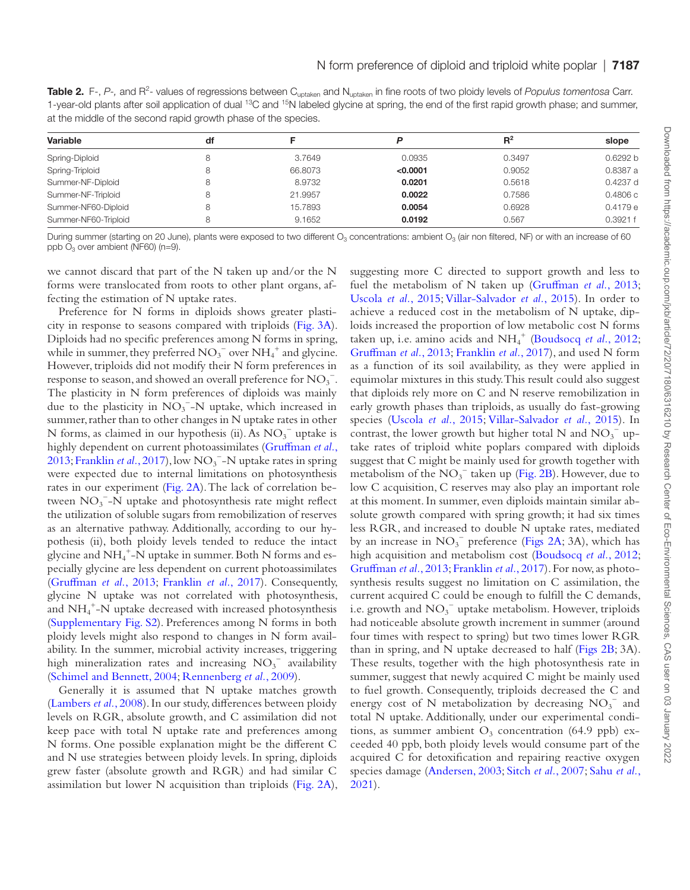<span id="page-7-0"></span>Table 2. F-, P-, and R<sup>2</sup>- values of regressions between C<sub>uptaken</sub> and N<sub>uptaken</sub> in fine roots of two ploidy levels of Populus tomentosa Carr. 1-year-old plants after soil application of dual <sup>13</sup>C and <sup>15</sup>N labeled glycine at spring, the end of the first rapid growth phase; and summer, at the middle of the second rapid growth phase of the species.

| Variable             | df |         |          | $R^2$  | slope    |
|----------------------|----|---------|----------|--------|----------|
|                      |    |         |          |        |          |
| Spring-Triploid      | 8  | 66,8073 | < 0.0001 | 0.9052 | 0.8387 a |
| Summer-NF-Diploid    | 8  | 8.9732  | 0.0201   | 0.5618 | 0.4237 d |
| Summer-NF-Triploid   | 8  | 21.9957 | 0.0022   | 0.7586 | 0.4806c  |
| Summer-NF60-Diploid  | 8  | 15.7893 | 0.0054   | 0.6928 | 0.4179e  |
| Summer-NF60-Triploid | 8  | 9.1652  | 0.0192   | 0.567  | 0.3921 f |

During summer (starting on 20 June), plants were exposed to two different  $O_3$  concentrations: ambient  $O_3$  (air non filtered, NF) or with an increase of 60 ppb  $O_3$  over ambient (NF60) (n=9).

we cannot discard that part of the N taken up and/or the N forms were translocated from roots to other plant organs, affecting the estimation of N uptake rates.

Preference for N forms in diploids shows greater plasticity in response to seasons compared with triploids [\(Fig. 3A](#page-6-0)). Diploids had no specific preferences among N forms in spring, while in summer, they preferred  $NO_3^-$  over  $NH_4^+$  and glycine. However, triploids did not modify their N form preferences in response to season, and showed an overall preference for  $\mathrm{NO_3}^-$ . The plasticity in N form preferences of diploids was mainly due to the plasticity in  $NO<sub>3</sub><sup>-</sup>-N$  uptake, which increased in summer, rather than to other changes in N uptake rates in other N forms, as claimed in our hypothesis (ii). As  $NO<sub>3</sub><sup>-</sup>$  uptake is highly dependent on current photoassimilates [\(Gruffman](#page-9-10) *et al.*, [2013;](#page-9-10) [Franklin](#page-9-12) et al., 2017), low NO<sub>3</sub><sup>-</sup>-N uptake rates in spring were expected due to internal limitations on photosynthesis rates in our experiment [\(Fig. 2A\)](#page-5-0). The lack of correlation between  $NO_3^-$ -N uptake and photosynthesis rate might reflect the utilization of soluble sugars from remobilization of reserves as an alternative pathway. Additionally, according to our hypothesis (ii), both ploidy levels tended to reduce the intact glycine and  $\mathrm{NH_4}^+$ -N uptake in summer. Both N forms and especially glycine are less dependent on current photoassimilates [\(Gruffman](#page-9-10) *et al.*, 2013; [Franklin](#page-9-12) *et al.*, 2017). Consequently, glycine N uptake was not correlated with photosynthesis, and NH4 +-N uptake decreased with increased photosynthesis [\(Supplementary Fig. S2\)](http://academic.oup.com/jxb/article-lookup/doi/10.1093/jxb/erab317#supplementary-data). Preferences among N forms in both ploidy levels might also respond to changes in N form availability. In the summer, microbial activity increases, triggering high mineralization rates and increasing  $NO<sub>3</sub><sup>-</sup>$  availability [\(Schimel and Bennett, 2004](#page-10-2); [Rennenberg](#page-10-0) *et al.*, 2009).

Generally it is assumed that N uptake matches growth [\(Lambers](#page-9-6) *et al.*, 2008). In our study, differences between ploidy levels on RGR, absolute growth, and C assimilation did not keep pace with total N uptake rate and preferences among N forms. One possible explanation might be the different C and N use strategies between ploidy levels. In spring, diploids grew faster (absolute growth and RGR) and had similar C assimilation but lower N acquisition than triploids ([Fig. 2A](#page-5-0)), suggesting more C directed to support growth and less to fuel the metabolism of N taken up ([Gruffman](#page-9-10) *et al.*, 2013; [Uscola](#page-10-9) *et al.*, 2015; [Villar-Salvador](#page-10-1) *et al.*, 2015). In order to achieve a reduced cost in the metabolism of N uptake, diploids increased the proportion of low metabolic cost N forms taken up, i.e. amino acids and NH<sub>4</sub><sup>+</sup> [\(Boudsocq](#page-9-13) et al., 2012; [Gruffman](#page-9-10) *et al.*, 2013; [Franklin](#page-9-12) *et al.*, 2017), and used N form as a function of its soil availability, as they were applied in equimolar mixtures in this study. This result could also suggest that diploids rely more on C and N reserve remobilization in early growth phases than triploids, as usually do fast-growing species [\(Uscola](#page-10-9) *et al.*, 2015; [Villar-Salvador](#page-10-1) *et al.*, 2015). In contrast, the lower growth but higher total N and  $NO_3^-$  uptake rates of triploid white poplars compared with diploids suggest that C might be mainly used for growth together with metabolism of the  $NO_3^-$  taken up ([Fig. 2B\)](#page-5-0). However, due to low C acquisition, C reserves may also play an important role at this moment. In summer, even diploids maintain similar absolute growth compared with spring growth; it had six times less RGR, and increased to double N uptake rates, mediated by an increase in  $NO_3^-$  preference [\(Figs 2A;](#page-5-0) 3A), which has high acquisition and metabolism cost [\(Boudsocq](#page-9-13) *et al.*, 2012; [Gruffman](#page-9-10) *et al.*, 2013; [Franklin](#page-9-12) *et al.*, 2017). For now, as photosynthesis results suggest no limitation on C assimilation, the current acquired C could be enough to fulfill the C demands, i.e. growth and  $NO_3^-$  uptake metabolism. However, triploids had noticeable absolute growth increment in summer (around four times with respect to spring) but two times lower RGR than in spring, and N uptake decreased to half ([Figs 2B;](#page-5-0) 3A). These results, together with the high photosynthesis rate in summer, suggest that newly acquired C might be mainly used to fuel growth. Consequently, triploids decreased the C and energy cost of N metabolization by decreasing  $NO<sub>3</sub><sup>-</sup>$  and total N uptake. Additionally, under our experimental conditions, as summer ambient  $O_3$  concentration (64.9 ppb) exceeded 40 ppb, both ploidy levels would consume part of the acquired C for detoxification and repairing reactive oxygen species damage [\(Andersen, 2003](#page-9-26); Sitch *et al.*[, 2007;](#page-10-15) [Sahu](#page-10-22) *et al.*, [2021\)](#page-10-22).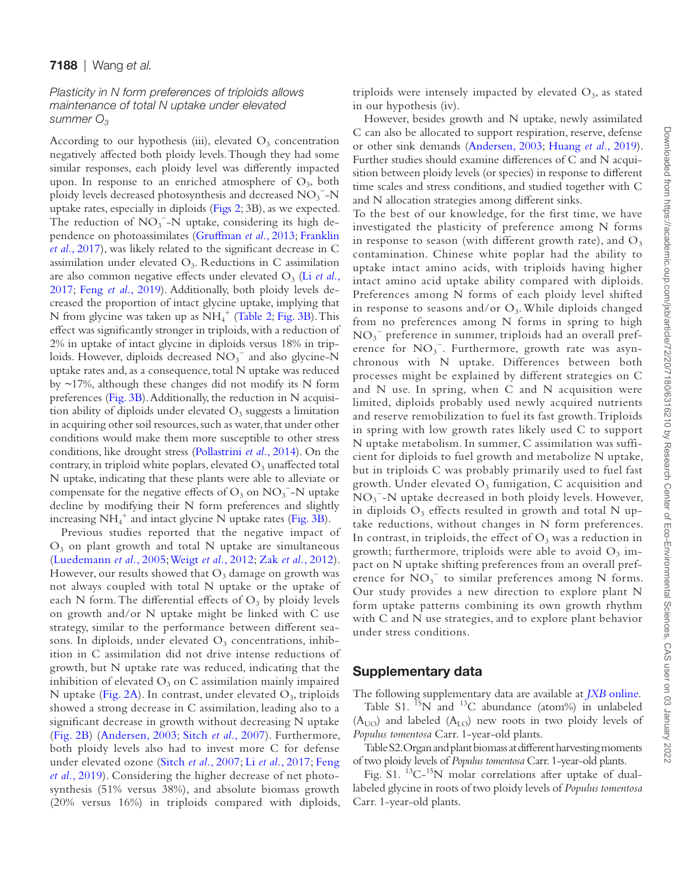## 7188 | Wang *et al.*

# *Plasticity in N form preferences of triploids allows maintenance of total N uptake under elevated summer O3*

According to our hypothesis (iii), elevated  $O_3$  concentration negatively affected both ploidy levels. Though they had some similar responses, each ploidy level was differently impacted upon. In response to an enriched atmosphere of  $O_3$ , both ploidy levels decreased photosynthesis and decreased  $\mathrm{NO_3}^{-}\text{-}\mathrm{N}$ uptake rates, especially in diploids [\(Figs 2](#page-5-0); 3B), as we expected. The reduction of  $NO_3^-$ -N uptake, considering its high dependence on photoassimilates ([Gruffman](#page-9-10) *et al.*, 2013; [Franklin](#page-9-12) *et al.*[, 2017](#page-9-12)), was likely related to the significant decrease in C assimilation under elevated  $O_3$ . Reductions in C assimilation are also common negative effects under elevated O<sub>3</sub> (Li *[et al.](#page-9-21)*, [2017;](#page-9-21) Feng *et al.*[, 2019\)](#page-9-16). Additionally, both ploidy levels decreased the proportion of intact glycine uptake, implying that N from glycine was taken up as  $NH_4^+$  ([Table 2](#page-7-0); [Fig. 3B](#page-6-0)). This effect was significantly stronger in triploids, with a reduction of 2% in uptake of intact glycine in diploids versus 18% in triploids. However, diploids decreased  $\overline{NO_3}^-$  and also glycine- $\overline{N}$ uptake rates and, as a consequence, total N uptake was reduced by  $\sim$ 17%, although these changes did not modify its N form preferences ([Fig. 3B](#page-6-0)). Additionally, the reduction in N acquisition ability of diploids under elevated  $O_3$  suggests a limitation in acquiring other soil resources, such as water, that under other conditions would make them more susceptible to other stress conditions, like drought stress [\(Pollastrini](#page-10-28) *et al.*, 2014). On the contrary, in triploid white poplars, elevated  $O_3$  unaffected total N uptake, indicating that these plants were able to alleviate or compensate for the negative effects of  $O_3$  on  $NO_3$ <sup>-</sup>-N uptake decline by modifying their N form preferences and slightly increasing  $NH_4^+$  and intact glycine N uptake rates ([Fig. 3B](#page-6-0)).

Previous studies reported that the negative impact of  $O<sub>3</sub>$  on plant growth and total N uptake are simultaneous ([Luedemann](#page-9-15) *et al.*, 2005; [Weigt](#page-10-17) *et al.*, 2012; Zak *et al.*[, 2012](#page-10-29)). However, our results showed that  $O_3$  damage on growth was not always coupled with total N uptake or the uptake of each N form. The differential effects of  $O_3$  by ploidy levels on growth and/or N uptake might be linked with C use strategy, similar to the performance between different seasons. In diploids, under elevated  $O<sub>3</sub>$  concentrations, inhibition in C assimilation did not drive intense reductions of growth, but N uptake rate was reduced, indicating that the inhibition of elevated  $O_3$  on C assimilation mainly impaired N uptake ([Fig. 2A\)](#page-5-0). In contrast, under elevated  $O_3$ , triploids showed a strong decrease in C assimilation, leading also to a significant decrease in growth without decreasing N uptake ([Fig. 2B](#page-5-0)) [\(Andersen, 2003](#page-9-26); Sitch *et al.*[, 2007](#page-10-15)). Furthermore, both ploidy levels also had to invest more C for defense under elevated ozone (Sitch *et al.*[, 2007](#page-10-15); Li *et al.*[, 2017;](#page-9-21) [Feng](#page-9-16) *et al.*[, 2019\)](#page-9-16). Considering the higher decrease of net photosynthesis (51% versus 38%), and absolute biomass growth (20% versus 16%) in triploids compared with diploids, triploids were intensely impacted by elevated  $O_3$ , as stated in our hypothesis (iv).

However, besides growth and N uptake, newly assimilated C can also be allocated to support respiration, reserve, defense or other sink demands ([Andersen, 2003](#page-9-26); [Huang](#page-9-27) *et al.*, 2019). Further studies should examine differences of C and N acquisition between ploidy levels (or species) in response to different time scales and stress conditions, and studied together with C and N allocation strategies among different sinks.

To the best of our knowledge, for the first time, we have investigated the plasticity of preference among N forms in response to season (with different growth rate), and  $O_3$ contamination. Chinese white poplar had the ability to uptake intact amino acids, with triploids having higher intact amino acid uptake ability compared with diploids. Preferences among N forms of each ploidy level shifted in response to seasons and/or  $O_3$ . While diploids changed from no preferences among N forms in spring to high NO3 − preference in summer, triploids had an overall preference for NO<sub>3</sub><sup>-</sup>. Furthermore, growth rate was asynchronous with N uptake. Differences between both processes might be explained by different strategies on C and N use. In spring, when C and N acquisition were limited, diploids probably used newly acquired nutrients and reserve remobilization to fuel its fast growth. Triploids in spring with low growth rates likely used C to support N uptake metabolism. In summer, C assimilation was sufficient for diploids to fuel growth and metabolize N uptake, but in triploids C was probably primarily used to fuel fast growth. Under elevated  $O_3$  fumigation, C acquisition and NO<sub>3</sub><sup>-</sup>-N uptake decreased in both ploidy levels. However, in diploids  $O_3$  effects resulted in growth and total N uptake reductions, without changes in N form preferences. In contrast, in triploids, the effect of  $O_3$  was a reduction in growth; furthermore, triploids were able to avoid  $O_3$  impact on N uptake shifting preferences from an overall preference for  $NO_3^-$  to similar preferences among N forms. Our study provides a new direction to explore plant N form uptake patterns combining its own growth rhythm with C and N use strategies, and to explore plant behavior under stress conditions.

# Supplementary data

The following supplementary data are available at *JXB* [online.](http://academic.oup.com/jxb/article-lookup/doi/10.1093/jxb/erab317#supplementary-data)

Table S1.  $^{15}N$  and  $^{13}C$  abundance (atom%) in unlabeled  $(A<sub>UO</sub>)$  and labeled  $(A<sub>LO</sub>)$  new roots in two ploidy levels of *Populus tomentosa* Carr. 1-year-old plants.

Table S2. Organ and plant biomass at different harvesting moments of two ploidy levels of *Populus tomentosa* Carr. 1-year-old plants.

Fig.  $S1.$   $^{13}C-^{15}N$  molar correlations after uptake of duallabeled glycine in roots of two ploidy levels of *Populus tomentosa* Carr. 1-year-old plants.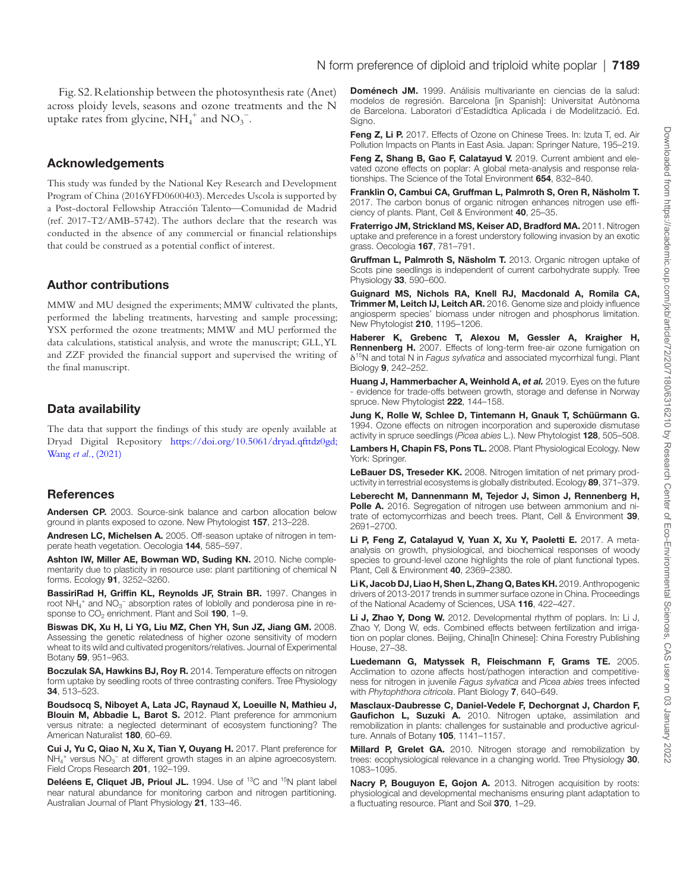Fig. S2. Relationship between the photosynthesis rate (Anet) across ploidy levels, seasons and ozone treatments and the N uptake rates from glycine,  $NH_4^+$  and  $NO_3^-$ .

#### Acknowledgements

This study was funded by the National Key Research and Development Program of China (2016YFD0600403). Mercedes Uscola is supported by a Post-doctoral Fellowship Atracción Talento—Comunidad de Madrid (ref. 2017-T2/AMB-5742). The authors declare that the research was conducted in the absence of any commercial or financial relationships that could be construed as a potential conflict of interest.

## Author contributions

MMW and MU designed the experiments; MMW cultivated the plants, performed the labeling treatments, harvesting and sample processing; YSX performed the ozone treatments; MMW and MU performed the data calculations, statistical analysis, and wrote the manuscript; GLL, YL and ZZF provided the financial support and supervised the writing of the final manuscript.

## Data availability

The data that support the findings of this study are openly available at Dryad Digital Repository <https://doi.org/10.5061/dryad.qfttdz0gd;> Wang *et al.*[, \(2021\)](#page-10-30)

#### References

<span id="page-9-26"></span>Andersen CP. 2003. Source-sink balance and carbon allocation below ground in plants exposed to ozone. New Phytologist 157, 213–228.

<span id="page-9-8"></span>Andresen LC, Michelsen A. 2005. Off-season uptake of nitrogen in temperate heath vegetation. Oecologia 144, 585–597.

<span id="page-9-2"></span>Ashton IW, Miller AE, Bowman WD, Suding KN. 2010. Niche complementarity due to plasticity in resource use: plant partitioning of chemical N forms. Ecology 91, 3252–3260.

BassiriRad H, Griffin KL, Reynolds JF, Strain BR. 1997. Changes in root  $NH_4^+$  and  $NO_3^-$  absorption rates of loblolly and ponderosa pine in response to  $CO<sub>2</sub>$  enrichment. Plant and Soil 190, 1-9.

<span id="page-9-22"></span>Biswas DK, Xu H, Li YG, Liu MZ, Chen YH, Sun JZ, Jiang GM. 2008. Assessing the genetic relatedness of higher ozone sensitivity of modern wheat to its wild and cultivated progenitors/relatives. Journal of Experimental Botany 59, 951–963.

<span id="page-9-3"></span>Boczulak SA, Hawkins BJ, Roy R. 2014. Temperature effects on nitrogen form uptake by seedling roots of three contrasting conifers. Tree Physiology 34, 513–523.

<span id="page-9-13"></span>Boudsocq S, Niboyet A, Lata JC, Raynaud X, Loeuille N, Mathieu J, Blouin M, Abbadie L, Barot S. 2012. Plant preference for ammonium versus nitrate: a neglected determinant of ecosystem functioning? The American Naturalist 180, 60–69.

<span id="page-9-9"></span>Cui J, Yu C, Qiao N, Xu X, Tian Y, Ouyang H. 2017. Plant preference for  $NH_4^+$  versus  $NO_3^-$  at different growth stages in an alpine agroecosystem. Field Crops Research 201, 192–199.

<span id="page-9-24"></span>Deléens E, Cliquet JB, Prioul JL. 1994. Use of <sup>13</sup>C and <sup>15</sup>N plant label near natural abundance for monitoring carbon and nitrogen partitioning. Australian Journal of Plant Physiology 21, 133–46.

<span id="page-9-25"></span>Doménech JM. 1999. Análisis multivariante en ciencias de la salud: modelos de regresión. Barcelona [in Spanish]: Universitat Autònoma de Barcelona. Laboratori d'Estadídtica Aplicada i de Modelització. Ed. Signo.

<span id="page-9-14"></span>Feng Z, Li P. 2017. Effects of Ozone on Chinese Trees. In: Izuta T, ed. Air Pollution Impacts on Plants in East Asia. Japan: Springer Nature, 195–219.

<span id="page-9-16"></span>Feng Z, Shang B, Gao F, Calatayud V. 2019. Current ambient and elevated ozone effects on poplar: A global meta-analysis and response relationships. The Science of the Total Environment 654, 832–840.

<span id="page-9-12"></span>Franklin O, Cambui CA, Gruffman L, Palmroth S, Oren R, Näsholm T. 2017. The carbon bonus of organic nitrogen enhances nitrogen use efficiency of plants. Plant, Cell & Environment 40, 25–35.

<span id="page-9-4"></span>Fraterrigo JM, Strickland MS, Keiser AD, Bradford MA. 2011. Nitrogen uptake and preference in a forest understory following invasion by an exotic grass. Oecologia 167, 781–791.

<span id="page-9-10"></span>Gruffman L, Palmroth S, Näsholm T. 2013. Organic nitrogen uptake of Scots pine seedlings is independent of current carbohydrate supply. Tree Physiology 33, 590–600.

<span id="page-9-19"></span>Guignard MS, Nichols RA, Knell RJ, Macdonald A, Romila CA, Trimmer M, Leitch IJ, Leitch AR. 2016. Genome size and ploidy influence angiosperm species' biomass under nitrogen and phosphorus limitation. New Phytologist 210, 1195–1206.

<span id="page-9-18"></span>Haberer K, Grebenc T, Alexou M, Gessler A, Kraigher H, Rennenberg H. 2007. Effects of long-term free-air ozone fumigation on δ15N and total N in *Fagus sylvatica* and associated mycorrhizal fungi. Plant Biology 9, 242–252.

<span id="page-9-27"></span>Huang J, Hammerbacher A, Weinhold A, et al. 2019. Eyes on the future - evidence for trade-offs between growth, storage and defense in Norway spruce. New Phytologist 222, 144–158.

<span id="page-9-17"></span>Jung K, Rolle W, Schlee D, Tintemann H, Gnauk T, Schüürmann G. 1994. Ozone effects on nitrogen incorporation and superoxide dismutase activity in spruce seedlings (*Picea abies* L.). New Phytologist 128, 505–508.

<span id="page-9-6"></span>Lambers H, Chapin FS, Pons TL. 2008. Plant Physiological Ecology. New York: Springer.

<span id="page-9-1"></span>LeBauer DS, Treseder KK. 2008. Nitrogen limitation of net primary productivity in terrestrial ecosystems is globally distributed. Ecology 89, 371–379.

<span id="page-9-5"></span>Leberecht M, Dannenmann M, Tejedor J, Simon J, Rennenberg H, Polle A. 2016. Segregation of nitrogen use between ammonium and nitrate of ectomycorrhizas and beech trees. Plant, Cell & Environment 39, 2691–2700.

<span id="page-9-23"></span>Li P, Feng Z, Catalayud V, Yuan X, Xu Y, Paoletti E. 2017. A metaanalysis on growth, physiological, and biochemical responses of woody species to ground-level ozone highlights the role of plant functional types. Plant, Cell & Environment 40, 2369–2380.

<span id="page-9-20"></span>Li K, Jacob DJ, Liao H, Shen L, Zhang Q, Bates KH. 2019. Anthropogenic drivers of 2013-2017 trends in summer surface ozone in China. Proceedings of the National Academy of Sciences, USA 116, 422–427.

<span id="page-9-21"></span>Li J, Zhao Y, Dong W. 2012. Developmental rhythm of poplars. In: Li J, Zhao Y, Dong W, eds. Combined effects between fertilization and irrigation on poplar clones. Beijing, China[In Chinese]: China Forestry Publishing House, 27–38.

<span id="page-9-15"></span>Luedemann G, Matyssek R, Fleischmann F, Grams TE. 2005. Acclimation to ozone affects host/pathogen interaction and competitiveness for nitrogen in juvenile *Fagus sylvatica* and *Picea abies* trees infected with *Phytophthora citricola*. Plant Biology 7, 640–649.

<span id="page-9-11"></span>Masclaux-Daubresse C, Daniel-Vedele F, Dechorgnat J, Chardon F, Gaufichon L, Suzuki A. 2010. Nitrogen uptake, assimilation and remobilization in plants: challenges for sustainable and productive agriculture. Annals of Botany 105, 1141–1157.

<span id="page-9-0"></span>Millard P, Grelet GA. 2010. Nitrogen storage and remobilization by trees: ecophysiological relevance in a changing world. Tree Physiology 30, 1083–1095.

<span id="page-9-7"></span>Nacry P, Bouguyon E, Gojon A. 2013. Nitrogen acquisition by roots: physiological and developmental mechanisms ensuring plant adaptation to a fluctuating resource. Plant and Soil 370, 1–29.